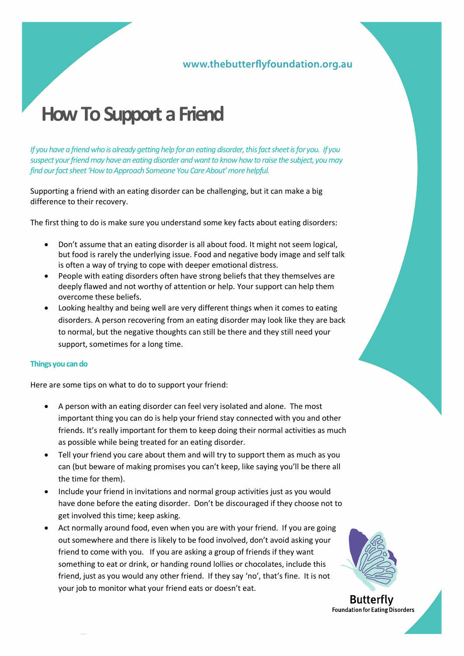### www.thebutterflyfoundation.org.au

# **How To Support a Friend**

*If you have a friend who is already getting help for an eating disorder, this fact sheet is for you. If you suspect your friend may have an eating disorder and want to know how to raise the subject, you may find our fact sheet 'How to Approach Someone You Care About' more helpful.*

Supporting a friend with an eating disorder can be challenging, but it can make a big difference to their recovery.

The first thing to do is make sure you understand some key facts about eating disorders:

- Don't assume that an eating disorder is all about food. It might not seem logical, but food is rarely the underlying issue. Food and negative body image and self talk is often a way of trying to cope with deeper emotional distress.
- People with eating disorders often have strong beliefs that they themselves are deeply flawed and not worthy of attention or help. Your support can help them overcome these beliefs.
- Looking healthy and being well are very different things when it comes to eating disorders. A person recovering from an eating disorder may look like they are back to normal, but the negative thoughts can still be there and they still need your support, sometimes for a long time.

#### **Things you can do**

Here are some tips on what to do to support your friend:

- A person with an eating disorder can feel very isolated and alone. The most important thing you can do is help your friend stay connected with you and other friends. It's really important for them to keep doing their normal activities as much as possible while being treated for an eating disorder.
- Tell your friend you care about them and will try to support them as much as you can (but beware of making promises you can't keep, like saying you'll be there all the time for them).
- Include your friend in invitations and normal group activities just as you would have done before the eating disorder. Don't be discouraged if they choose not to get involved this time; keep asking.
- Act normally around food, even when you are with your friend. If you are going out somewhere and there is likely to be food involved, don't avoid asking your friend to come with you. If you are asking a group of friends if they want something to eat or drink, or handing round lollies or chocolates, include this friend, just as you would any other friend. If they say 'no', that's fine. It is not your job to monitor what your friend eats or doesn't eat.



**Butterfly Foundation for Eating Disorders**